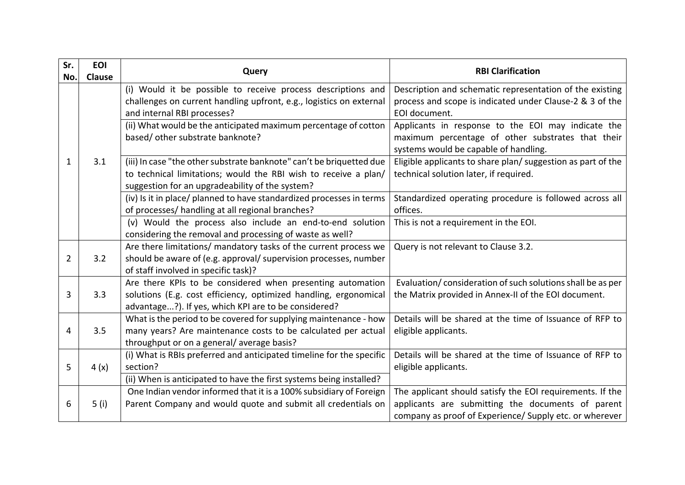| Sr.            | <b>EOI</b>    | Query                                                                                                                                                              | <b>RBI Clarification</b>                                                                                                                         |
|----------------|---------------|--------------------------------------------------------------------------------------------------------------------------------------------------------------------|--------------------------------------------------------------------------------------------------------------------------------------------------|
| No.            | <b>Clause</b> |                                                                                                                                                                    |                                                                                                                                                  |
|                |               | (i) Would it be possible to receive process descriptions and<br>challenges on current handling upfront, e.g., logistics on external<br>and internal RBI processes? | Description and schematic representation of the existing<br>process and scope is indicated under Clause-2 & 3 of the<br>EOI document.            |
|                |               | (ii) What would be the anticipated maximum percentage of cotton<br>based/ other substrate banknote?                                                                | Applicants in response to the EOI may indicate the<br>maximum percentage of other substrates that their<br>systems would be capable of handling. |
| 1              | 3.1           | (iii) In case "the other substrate banknote" can't be briquetted due                                                                                               | Eligible applicants to share plan/ suggestion as part of the                                                                                     |
|                |               | to technical limitations; would the RBI wish to receive a plan/<br>suggestion for an upgradeability of the system?                                                 | technical solution later, if required.                                                                                                           |
|                |               | (iv) Is it in place/ planned to have standardized processes in terms                                                                                               | Standardized operating procedure is followed across all                                                                                          |
|                |               | of processes/ handling at all regional branches?                                                                                                                   | offices.                                                                                                                                         |
|                |               | (v) Would the process also include an end-to-end solution                                                                                                          | This is not a requirement in the EOI.                                                                                                            |
|                |               | considering the removal and processing of waste as well?                                                                                                           |                                                                                                                                                  |
|                |               | Are there limitations/ mandatory tasks of the current process we                                                                                                   | Query is not relevant to Clause 3.2.                                                                                                             |
| $\overline{2}$ | 3.2           | should be aware of (e.g. approval/ supervision processes, number                                                                                                   |                                                                                                                                                  |
|                |               | of staff involved in specific task)?                                                                                                                               |                                                                                                                                                  |
|                |               | Are there KPIs to be considered when presenting automation                                                                                                         | Evaluation/consideration of such solutions shall be as per                                                                                       |
| 3              | 3.3           | solutions (E.g. cost efficiency, optimized handling, ergonomical<br>advantage?). If yes, which KPI are to be considered?                                           | the Matrix provided in Annex-II of the EOI document.                                                                                             |
|                |               | What is the period to be covered for supplying maintenance - how                                                                                                   | Details will be shared at the time of Issuance of RFP to                                                                                         |
| 4              | 3.5           | many years? Are maintenance costs to be calculated per actual                                                                                                      | eligible applicants.                                                                                                                             |
|                |               | throughput or on a general/average basis?                                                                                                                          |                                                                                                                                                  |
|                |               | (i) What is RBIs preferred and anticipated timeline for the specific                                                                                               | Details will be shared at the time of Issuance of RFP to                                                                                         |
| 5              | 4(x)          | section?                                                                                                                                                           | eligible applicants.                                                                                                                             |
|                |               | (ii) When is anticipated to have the first systems being installed?                                                                                                |                                                                                                                                                  |
|                |               | One Indian vendor informed that it is a 100% subsidiary of Foreign                                                                                                 | The applicant should satisfy the EOI requirements. If the                                                                                        |
| 6              | 5(i)          | Parent Company and would quote and submit all credentials on                                                                                                       | applicants are submitting the documents of parent                                                                                                |
|                |               |                                                                                                                                                                    | company as proof of Experience/ Supply etc. or wherever                                                                                          |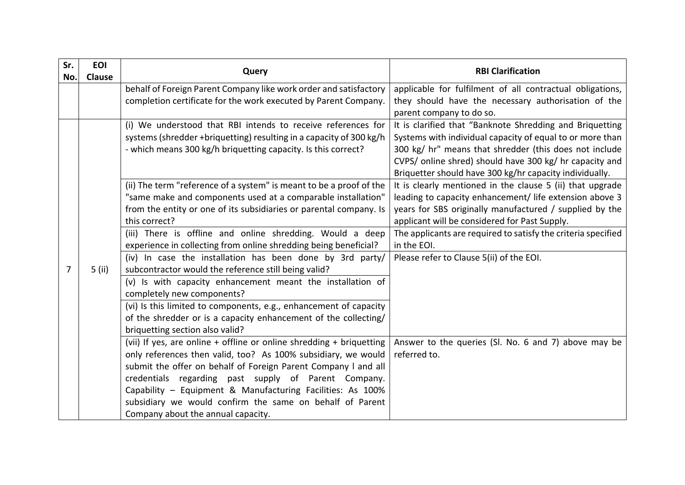| Sr. | <b>EOI</b> | Query                                                                                                                                                                                                                      | <b>RBI Clarification</b>                                                                                                                                                                                                                                                                              |
|-----|------------|----------------------------------------------------------------------------------------------------------------------------------------------------------------------------------------------------------------------------|-------------------------------------------------------------------------------------------------------------------------------------------------------------------------------------------------------------------------------------------------------------------------------------------------------|
| No. | Clause     |                                                                                                                                                                                                                            |                                                                                                                                                                                                                                                                                                       |
|     |            | behalf of Foreign Parent Company like work order and satisfactory<br>completion certificate for the work executed by Parent Company.                                                                                       | applicable for fulfilment of all contractual obligations,<br>they should have the necessary authorisation of the                                                                                                                                                                                      |
|     |            |                                                                                                                                                                                                                            | parent company to do so.                                                                                                                                                                                                                                                                              |
|     |            | (i) We understood that RBI intends to receive references for<br>systems (shredder +briquetting) resulting in a capacity of 300 kg/h<br>- which means 300 kg/h briquetting capacity. Is this correct?                       | It is clarified that "Banknote Shredding and Briquetting<br>Systems with individual capacity of equal to or more than<br>300 kg/ hr" means that shredder (this does not include<br>CVPS/ online shred) should have 300 kg/ hr capacity and<br>Briquetter should have 300 kg/hr capacity individually. |
|     |            | (ii) The term "reference of a system" is meant to be a proof of the<br>"same make and components used at a comparable installation"<br>from the entity or one of its subsidiaries or parental company. Is<br>this correct? | It is clearly mentioned in the clause 5 (ii) that upgrade<br>leading to capacity enhancement/ life extension above 3<br>years for SBS originally manufactured / supplied by the<br>applicant will be considered for Past Supply.                                                                      |
|     |            | (iii) There is offline and online shredding. Would a deep<br>experience in collecting from online shredding being beneficial?                                                                                              | The applicants are required to satisfy the criteria specified<br>in the EOI.                                                                                                                                                                                                                          |
| 7   | 5 (ii)     | (iv) In case the installation has been done by 3rd party/<br>subcontractor would the reference still being valid?                                                                                                          | Please refer to Clause 5(ii) of the EOI.                                                                                                                                                                                                                                                              |
|     |            | (v) Is with capacity enhancement meant the installation of<br>completely new components?                                                                                                                                   |                                                                                                                                                                                                                                                                                                       |
|     |            | (vi) Is this limited to components, e.g., enhancement of capacity                                                                                                                                                          |                                                                                                                                                                                                                                                                                                       |
|     |            | of the shredder or is a capacity enhancement of the collecting/<br>briquetting section also valid?                                                                                                                         |                                                                                                                                                                                                                                                                                                       |
|     |            | (vii) If yes, are online + offline or online shredding + briquetting<br>only references then valid, too? As 100% subsidiary, we would                                                                                      | Answer to the queries (SI. No. 6 and 7) above may be<br>referred to.                                                                                                                                                                                                                                  |
|     |            | submit the offer on behalf of Foreign Parent Company I and all                                                                                                                                                             |                                                                                                                                                                                                                                                                                                       |
|     |            | credentials regarding past supply of Parent Company.                                                                                                                                                                       |                                                                                                                                                                                                                                                                                                       |
|     |            | Capability - Equipment & Manufacturing Facilities: As 100%                                                                                                                                                                 |                                                                                                                                                                                                                                                                                                       |
|     |            | subsidiary we would confirm the same on behalf of Parent                                                                                                                                                                   |                                                                                                                                                                                                                                                                                                       |
|     |            | Company about the annual capacity.                                                                                                                                                                                         |                                                                                                                                                                                                                                                                                                       |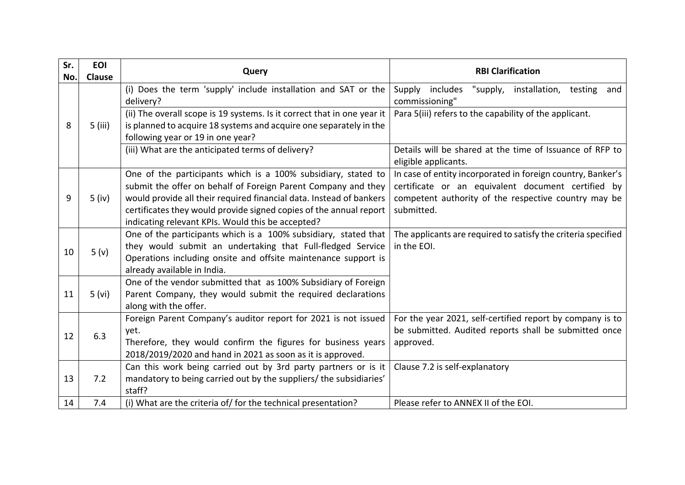| Sr. | <b>EOI</b> | Query                                                                       | <b>RBI Clarification</b>                                                         |
|-----|------------|-----------------------------------------------------------------------------|----------------------------------------------------------------------------------|
| No. | Clause     |                                                                             |                                                                                  |
|     |            | (i) Does the term 'supply' include installation and SAT or the<br>delivery? | "supply, installation, testing and<br>Supply<br>includes<br>commissioning"       |
|     |            | (ii) The overall scope is 19 systems. Is it correct that in one year it     | Para 5(iii) refers to the capability of the applicant.                           |
| 8   | 5 (iii)    | is planned to acquire 18 systems and acquire one separately in the          |                                                                                  |
|     |            | following year or 19 in one year?                                           |                                                                                  |
|     |            | (iii) What are the anticipated terms of delivery?                           | Details will be shared at the time of Issuance of RFP to<br>eligible applicants. |
|     |            | One of the participants which is a 100% subsidiary, stated to               | In case of entity incorporated in foreign country, Banker's                      |
|     |            | submit the offer on behalf of Foreign Parent Company and they               | certificate or an equivalent document certified by                               |
| 9   | $5$ (iv)   | would provide all their required financial data. Instead of bankers         | competent authority of the respective country may be                             |
|     |            | certificates they would provide signed copies of the annual report          | submitted.                                                                       |
|     |            | indicating relevant KPIs. Would this be accepted?                           |                                                                                  |
|     | 5(y)       | One of the participants which is a 100% subsidiary, stated that             | The applicants are required to satisfy the criteria specified                    |
| 10  |            | they would submit an undertaking that Full-fledged Service                  | in the EOI.                                                                      |
|     |            | Operations including onsite and offsite maintenance support is              |                                                                                  |
|     |            | already available in India.                                                 |                                                                                  |
|     | 5 (vi)     | One of the vendor submitted that as 100% Subsidiary of Foreign              |                                                                                  |
| 11  |            | Parent Company, they would submit the required declarations                 |                                                                                  |
|     |            | along with the offer.                                                       |                                                                                  |
|     | 6.3        | Foreign Parent Company's auditor report for 2021 is not issued              | For the year 2021, self-certified report by company is to                        |
| 12  |            | yet.                                                                        | be submitted. Audited reports shall be submitted once                            |
|     |            | Therefore, they would confirm the figures for business years                | approved.                                                                        |
|     |            | 2018/2019/2020 and hand in 2021 as soon as it is approved.                  |                                                                                  |
|     |            | Can this work being carried out by 3rd party partners or is it              | Clause 7.2 is self-explanatory                                                   |
| 13  | 7.2        | mandatory to being carried out by the suppliers/ the subsidiaries'          |                                                                                  |
|     |            | staff?                                                                      |                                                                                  |
| 14  | 7.4        | (i) What are the criteria of/ for the technical presentation?               | Please refer to ANNEX II of the EOI.                                             |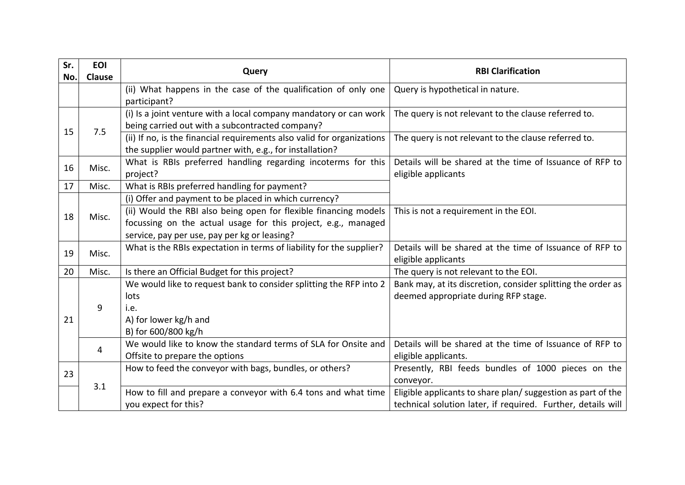| Sr. | <b>EOI</b> | Query                                                                  | <b>RBI Clarification</b>                                     |
|-----|------------|------------------------------------------------------------------------|--------------------------------------------------------------|
| No. | Clause     |                                                                        |                                                              |
|     |            | (ii) What happens in the case of the qualification of only one         | Query is hypothetical in nature.                             |
|     |            | participant?                                                           |                                                              |
|     |            | (i) Is a joint venture with a local company mandatory or can work      | The query is not relevant to the clause referred to.         |
| 15  | 7.5        | being carried out with a subcontracted company?                        |                                                              |
|     |            | (ii) If no, is the financial requirements also valid for organizations | The query is not relevant to the clause referred to.         |
|     |            | the supplier would partner with, e.g., for installation?               |                                                              |
|     |            | What is RBIs preferred handling regarding incoterms for this           | Details will be shared at the time of Issuance of RFP to     |
| 16  | Misc.      | project?                                                               | eligible applicants                                          |
| 17  | Misc.      | What is RBIs preferred handling for payment?                           |                                                              |
|     |            | (i) Offer and payment to be placed in which currency?                  |                                                              |
|     |            | (ii) Would the RBI also being open for flexible financing models       | This is not a requirement in the EOI.                        |
| 18  | Misc.      | focussing on the actual usage for this project, e.g., managed          |                                                              |
|     |            | service, pay per use, pay per kg or leasing?                           |                                                              |
|     | Misc.      | What is the RBIs expectation in terms of liability for the supplier?   | Details will be shared at the time of Issuance of RFP to     |
| 19  |            |                                                                        | eligible applicants                                          |
| 20  | Misc.      | Is there an Official Budget for this project?                          | The query is not relevant to the EOI.                        |
|     | 9          | We would like to request bank to consider splitting the RFP into 2     | Bank may, at its discretion, consider splitting the order as |
|     |            | lots                                                                   | deemed appropriate during RFP stage.                         |
|     |            | i.e.                                                                   |                                                              |
| 21  |            | A) for lower kg/h and                                                  |                                                              |
|     |            | B) for 600/800 kg/h                                                    |                                                              |
|     |            | We would like to know the standard terms of SLA for Onsite and         | Details will be shared at the time of Issuance of RFP to     |
|     | 4          | Offsite to prepare the options                                         | eligible applicants.                                         |
| 23  |            | How to feed the conveyor with bags, bundles, or others?                | Presently, RBI feeds bundles of 1000 pieces on the           |
|     | 3.1        |                                                                        | conveyor.                                                    |
|     |            | How to fill and prepare a conveyor with 6.4 tons and what time         | Eligible applicants to share plan/ suggestion as part of the |
|     |            | you expect for this?                                                   | technical solution later, if required. Further, details will |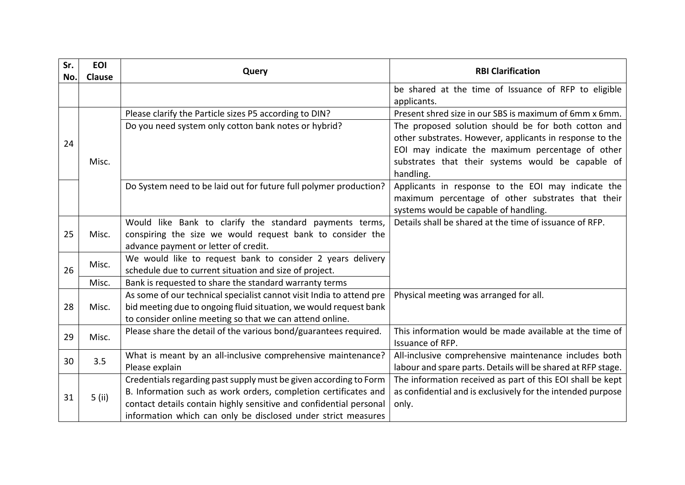| Sr.<br>No. | <b>EOI</b><br>Clause | Query                                                                | <b>RBI Clarification</b>                                            |
|------------|----------------------|----------------------------------------------------------------------|---------------------------------------------------------------------|
|            |                      |                                                                      | be shared at the time of Issuance of RFP to eligible<br>applicants. |
|            |                      | Please clarify the Particle sizes P5 according to DIN?               | Present shred size in our SBS is maximum of 6mm x 6mm.              |
|            |                      | Do you need system only cotton bank notes or hybrid?                 | The proposed solution should be for both cotton and                 |
| 24         |                      |                                                                      | other substrates. However, applicants in response to the            |
|            |                      |                                                                      | EOI may indicate the maximum percentage of other                    |
|            | Misc.                |                                                                      | substrates that their systems would be capable of                   |
|            |                      |                                                                      | handling.                                                           |
|            |                      | Do System need to be laid out for future full polymer production?    | Applicants in response to the EOI may indicate the                  |
|            |                      |                                                                      | maximum percentage of other substrates that their                   |
|            |                      |                                                                      | systems would be capable of handling.                               |
|            |                      | Would like Bank to clarify the standard payments terms,              | Details shall be shared at the time of issuance of RFP.             |
| 25         | Misc.                | conspiring the size we would request bank to consider the            |                                                                     |
|            |                      | advance payment or letter of credit.                                 |                                                                     |
|            | Misc.                | We would like to request bank to consider 2 years delivery           |                                                                     |
| 26         |                      | schedule due to current situation and size of project.               |                                                                     |
|            | Misc.                | Bank is requested to share the standard warranty terms               |                                                                     |
|            |                      | As some of our technical specialist cannot visit India to attend pre | Physical meeting was arranged for all.                              |
| 28         | Misc.                | bid meeting due to ongoing fluid situation, we would request bank    |                                                                     |
|            |                      | to consider online meeting so that we can attend online.             |                                                                     |
| 29         | Misc.                | Please share the detail of the various bond/guarantees required.     | This information would be made available at the time of             |
|            |                      |                                                                      | Issuance of RFP.                                                    |
| 30         | 3.5                  | What is meant by an all-inclusive comprehensive maintenance?         | All-inclusive comprehensive maintenance includes both               |
|            |                      | Please explain                                                       | labour and spare parts. Details will be shared at RFP stage.        |
|            |                      | Credentials regarding past supply must be given according to Form    | The information received as part of this EOI shall be kept          |
| 31         | $5$ (ii)             | B. Information such as work orders, completion certificates and      | as confidential and is exclusively for the intended purpose         |
|            |                      | contact details contain highly sensitive and confidential personal   | only.                                                               |
|            |                      | information which can only be disclosed under strict measures        |                                                                     |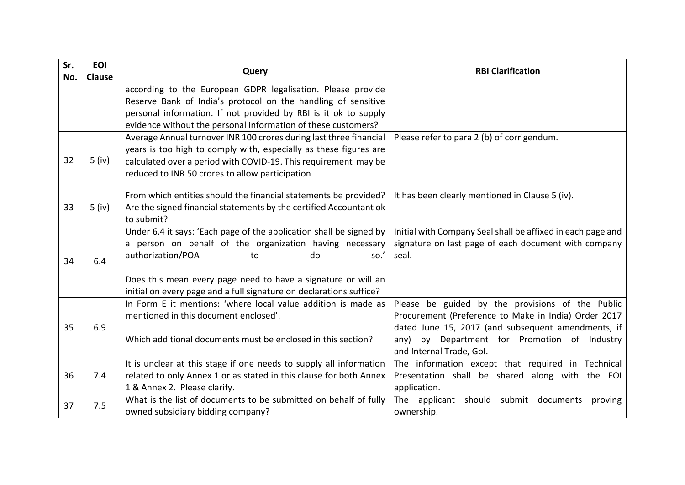| Sr. | <b>EOI</b>    | Query                                                               | <b>RBI Clarification</b>                                    |
|-----|---------------|---------------------------------------------------------------------|-------------------------------------------------------------|
| No. | <b>Clause</b> |                                                                     |                                                             |
|     |               | according to the European GDPR legalisation. Please provide         |                                                             |
|     |               | Reserve Bank of India's protocol on the handling of sensitive       |                                                             |
|     |               | personal information. If not provided by RBI is it ok to supply     |                                                             |
|     |               | evidence without the personal information of these customers?       |                                                             |
|     |               | Average Annual turnover INR 100 crores during last three financial  | Please refer to para 2 (b) of corrigendum.                  |
|     |               | years is too high to comply with, especially as these figures are   |                                                             |
| 32  | $5$ (iv)      | calculated over a period with COVID-19. This requirement may be     |                                                             |
|     |               | reduced to INR 50 crores to allow participation                     |                                                             |
|     |               | From which entities should the financial statements be provided?    | It has been clearly mentioned in Clause 5 (iv).             |
| 33  | $5$ (iv)      | Are the signed financial statements by the certified Accountant ok  |                                                             |
|     |               | to submit?                                                          |                                                             |
|     |               | Under 6.4 it says: 'Each page of the application shall be signed by | Initial with Company Seal shall be affixed in each page and |
|     | 6.4           | a person on behalf of the organization having necessary             | signature on last page of each document with company        |
| 34  |               | authorization/POA<br>so.'<br>do<br>to                               | seal.                                                       |
|     |               |                                                                     |                                                             |
|     |               | Does this mean every page need to have a signature or will an       |                                                             |
|     |               | initial on every page and a full signature on declarations suffice? |                                                             |
|     | 6.9           | In Form E it mentions: 'where local value addition is made as       | Please be guided by the provisions of the Public            |
|     |               | mentioned in this document enclosed'.                               | Procurement (Preference to Make in India) Order 2017        |
| 35  |               |                                                                     | dated June 15, 2017 (and subsequent amendments, if          |
|     |               | Which additional documents must be enclosed in this section?        | by Department for Promotion of Industry<br>any)             |
|     |               |                                                                     | and Internal Trade, Gol.                                    |
|     |               | It is unclear at this stage if one needs to supply all information  | The information except that required in Technical           |
| 36  | 7.4           | related to only Annex 1 or as stated in this clause for both Annex  | Presentation shall be shared along with the EOI             |
|     |               | 1 & Annex 2. Please clarify.                                        | application.                                                |
| 37  | 7.5           | What is the list of documents to be submitted on behalf of fully    | The applicant should submit documents<br>proving            |
|     |               | owned subsidiary bidding company?                                   | ownership.                                                  |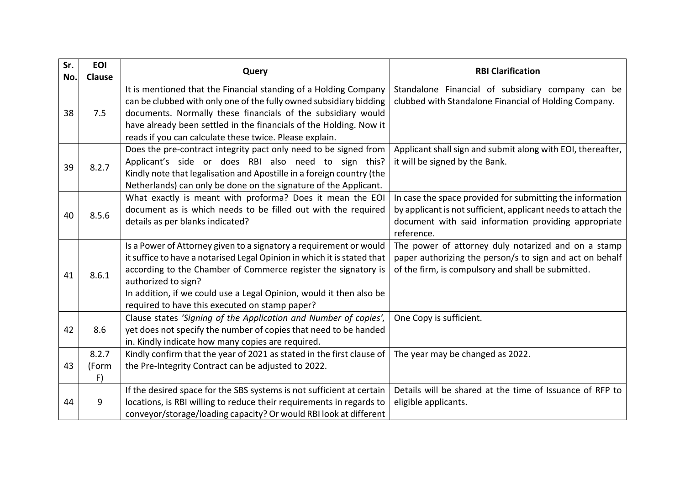| Sr. | <b>EOI</b>           | Query                                                                                                                                                                                                                                                                                                                                                           | <b>RBI Clarification</b>                                                                                                                                                                         |
|-----|----------------------|-----------------------------------------------------------------------------------------------------------------------------------------------------------------------------------------------------------------------------------------------------------------------------------------------------------------------------------------------------------------|--------------------------------------------------------------------------------------------------------------------------------------------------------------------------------------------------|
| No. | Clause               |                                                                                                                                                                                                                                                                                                                                                                 |                                                                                                                                                                                                  |
| 38  | 7.5                  | It is mentioned that the Financial standing of a Holding Company<br>can be clubbed with only one of the fully owned subsidiary bidding<br>documents. Normally these financials of the subsidiary would<br>have already been settled in the financials of the Holding. Now it<br>reads if you can calculate these twice. Please explain.                         | Standalone Financial of subsidiary company can be<br>clubbed with Standalone Financial of Holding Company.                                                                                       |
| 39  | 8.2.7                | Does the pre-contract integrity pact only need to be signed from<br>Applicant's side or does RBI also need to sign this?<br>Kindly note that legalisation and Apostille in a foreign country (the<br>Netherlands) can only be done on the signature of the Applicant.                                                                                           | Applicant shall sign and submit along with EOI, thereafter,<br>it will be signed by the Bank.                                                                                                    |
| 40  | 8.5.6                | What exactly is meant with proforma? Does it mean the EOI<br>document as is which needs to be filled out with the required<br>details as per blanks indicated?                                                                                                                                                                                                  | In case the space provided for submitting the information<br>by applicant is not sufficient, applicant needs to attach the<br>document with said information providing appropriate<br>reference. |
| 41  | 8.6.1                | Is a Power of Attorney given to a signatory a requirement or would<br>it suffice to have a notarised Legal Opinion in which it is stated that<br>according to the Chamber of Commerce register the signatory is<br>authorized to sign?<br>In addition, if we could use a Legal Opinion, would it then also be<br>required to have this executed on stamp paper? | The power of attorney duly notarized and on a stamp<br>paper authorizing the person/s to sign and act on behalf<br>of the firm, is compulsory and shall be submitted.                            |
| 42  | 8.6                  | Clause states 'Signing of the Application and Number of copies',<br>yet does not specify the number of copies that need to be handed<br>in. Kindly indicate how many copies are required.                                                                                                                                                                       | One Copy is sufficient.                                                                                                                                                                          |
| 43  | 8.2.7<br>(Form<br>F) | Kindly confirm that the year of 2021 as stated in the first clause of<br>the Pre-Integrity Contract can be adjusted to 2022.                                                                                                                                                                                                                                    | The year may be changed as 2022.                                                                                                                                                                 |
| 44  | 9                    | If the desired space for the SBS systems is not sufficient at certain<br>locations, is RBI willing to reduce their requirements in regards to<br>conveyor/storage/loading capacity? Or would RBI look at different                                                                                                                                              | Details will be shared at the time of Issuance of RFP to<br>eligible applicants.                                                                                                                 |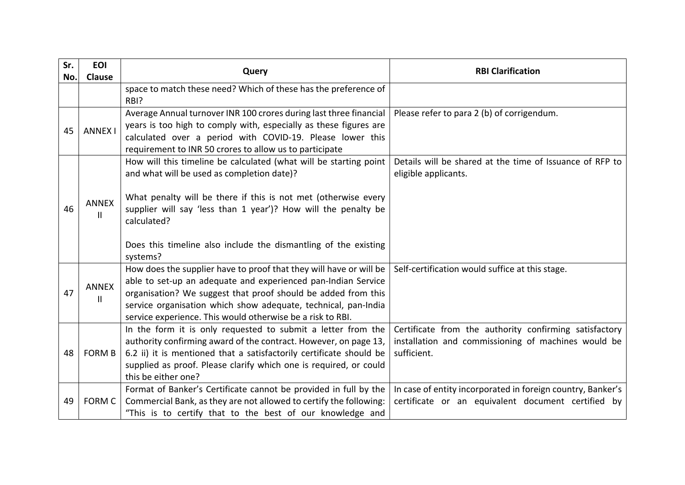| Sr. | <b>EOI</b>                   | Query                                                                                                                                                                                                                                                                                                                                | <b>RBI Clarification</b>                                                                                                     |
|-----|------------------------------|--------------------------------------------------------------------------------------------------------------------------------------------------------------------------------------------------------------------------------------------------------------------------------------------------------------------------------------|------------------------------------------------------------------------------------------------------------------------------|
| No. | <b>Clause</b>                |                                                                                                                                                                                                                                                                                                                                      |                                                                                                                              |
|     |                              | space to match these need? Which of these has the preference of<br>RBI?                                                                                                                                                                                                                                                              |                                                                                                                              |
| 45  | <b>ANNEX I</b>               | Average Annual turnover INR 100 crores during last three financial<br>years is too high to comply with, especially as these figures are<br>calculated over a period with COVID-19. Please lower this<br>requirement to INR 50 crores to allow us to participate                                                                      | Please refer to para 2 (b) of corrigendum.                                                                                   |
| 46  | <b>ANNEX</b><br>Ш            | How will this timeline be calculated (what will be starting point<br>and what will be used as completion date)?<br>What penalty will be there if this is not met (otherwise every<br>supplier will say 'less than 1 year')? How will the penalty be<br>calculated?                                                                   | Details will be shared at the time of Issuance of RFP to<br>eligible applicants.                                             |
|     |                              | Does this timeline also include the dismantling of the existing<br>systems?                                                                                                                                                                                                                                                          |                                                                                                                              |
| 47  | <b>ANNEX</b><br>$\mathbf{I}$ | How does the supplier have to proof that they will have or will be<br>able to set-up an adequate and experienced pan-Indian Service<br>organisation? We suggest that proof should be added from this<br>service organisation which show adequate, technical, pan-India<br>service experience. This would otherwise be a risk to RBI. | Self-certification would suffice at this stage.                                                                              |
| 48  | <b>FORM B</b>                | In the form it is only requested to submit a letter from the<br>authority confirming award of the contract. However, on page 13,<br>6.2 ii) it is mentioned that a satisfactorily certificate should be<br>supplied as proof. Please clarify which one is required, or could<br>this be either one?                                  | Certificate from the authority confirming satisfactory<br>installation and commissioning of machines would be<br>sufficient. |
| 49  | <b>FORM C</b>                | Format of Banker's Certificate cannot be provided in full by the<br>Commercial Bank, as they are not allowed to certify the following:<br>"This is to certify that to the best of our knowledge and                                                                                                                                  | In case of entity incorporated in foreign country, Banker's<br>certificate or an equivalent document certified by            |